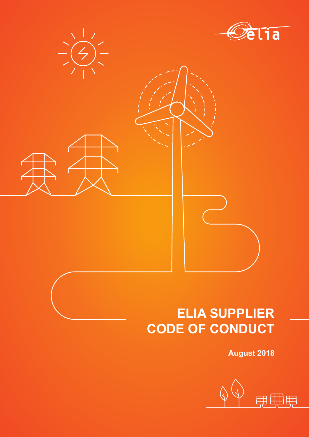



# **ELIA SUPPLIER CODE OF CONDUCT**

**August 2018**

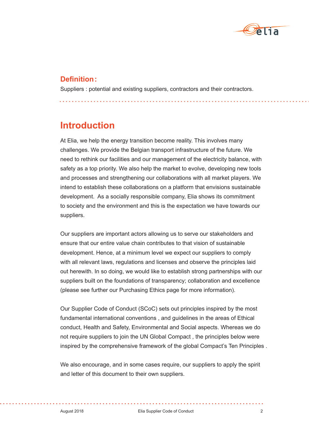

### **Definition:**

Suppliers : potential and existing suppliers, contractors and their contractors.

## **Introduction**

At Elia, we help the energy transition become reality. This involves many challenges. We provide the Belgian transport infrastructure of the future. We need to rethink our facilities and our management of the electricity balance, with safety as a top priority. We also help the market to evolve, developing new tools and processes and strengthening our collaborations with all market players. We intend to establish these collaborations on a platform that envisions sustainable development. As a socially responsible company, Elia shows its commitment to society and the environment and this is the expectation we have towards our suppliers.

Our suppliers are important actors allowing us to serve our stakeholders and ensure that our entire value chain contributes to that vision of sustainable development. Hence, at a minimum level we expect our suppliers to comply with all relevant laws, regulations and licenses and observe the principles laid out herewith. In so doing, we would like to establish strong partnerships with our suppliers built on the foundations of transparency; collaboration and excellence (please see further our Purchasing Ethics page for more information).

Our Supplier Code of Conduct (SCoC) sets out principles inspired by the most fundamental international conventions , and guidelines in the areas of Ethical conduct, Health and Safety, Environmental and Social aspects. Whereas we do not require suppliers to join the UN Global Compact , the principles below were inspired by the comprehensive framework of the global Compact's Ten Principles .

We also encourage, and in some cases require, our suppliers to apply the spirit and letter of this document to their own suppliers.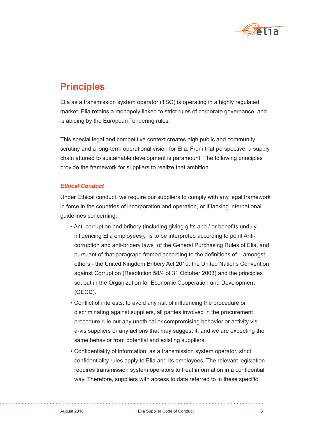

## **Principles**

Elia as a transmission system operator (TSO) is operating in a highly regulated market. Elia retains a monopoly linked to strict rules of corporate governance, and is abiding by the European Tendering rules.

This special legal and competitive context creates high public and community scrutiny and a long-term operational vision for Elia. From that perspective, a supply chain attuned to sustainable development is paramount. The following principles provide the framework for suppliers to realize that ambition.

#### *Ethical Conduct*

Under Ethical conduct, we require our suppliers to comply with any legal framework in force in the countries of incorporation and operation, or if lacking international guidelines concerning:

- Anti-corruption and bribery (including giving gifts and / or benefits unduly influencing Elia employees), is to be interpreted according to point Anticorruption and anti-bribery laws" of the General Purchasing Rules of Elia, and pursuant of that paragraph framed according to the definitions of – amongst others - the United Kingdom Bribery Act 2010, the United Nations Convention against Corruption (Resolution 58/4 of 31 October 2003) and the principles set out in the Organization for Economic Cooperation and Development (OECD).
- Conflict of interests: to avoid any risk of influencing the procedure or discriminating against suppliers, all parties involved in the procurement procedure rule out any unethical or compromising behavior or activity visà-vis suppliers or any actions that may suggest it, and we are expecting the same behavior from potential and existing suppliers.
- Confidentiality of information: as a transmission system operator, strict confidentiality rules apply to Elia and its employees. The relevant legislation requires transmission system operators to treat information in a confidential way. Therefore, suppliers with access to data referred to in these specific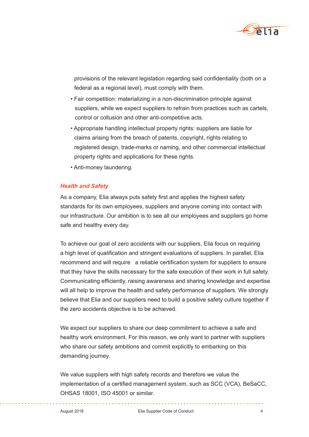

provisions of the relevant legislation regarding said confidentiality (both on a federal as a regional level), must comply with them.

- Fair competition: materializing in a non-discrimination principle against suppliers, while we expect suppliers to refrain from practices such as cartels, control or collusion and other anti-competitive acts.
- Appropriate handling intellectual property rights: suppliers are liable for claims arising from the breach of patents, copyright, rights relating to registered design, trade-marks or naming, and other commercial intellectual property rights and applications for these rights.
- Anti-money laundering.

#### *Health and Safety*

As a company, Elia always puts safety first and applies the highest safety standards for its own employees, suppliers and anyone coming into contact with our infrastructure. Our ambition is to see all our employees and suppliers go home safe and healthy every day.

To achieve our goal of zero accidents with our suppliers, Elia focus on requiring a high level of qualification and stringent evaluations of suppliers. In parallel, Elia recommend and will require a reliable certification system for suppliers to ensure that they have the skills necessary for the safe execution of their work in full safety. Communicating efficiently, raising awareness and sharing knowledge and expertise will all help to improve the health and safety performance of suppliers. We strongly believe that Elia and our suppliers need to build a positive safety culture together if the zero accidents objective is to be achieved.

We expect our suppliers to share our deep commitment to achieve a safe and healthy work environment. For this reason, we only want to partner with suppliers who share our safety ambitions and commit explicitly to embarking on this demanding journey.

We value suppliers with high safety records and therefore we value the implementation of a certified management system, such as SCC (VCA), BeSaCC, OHSAS 18001, ISO 45001 or similar.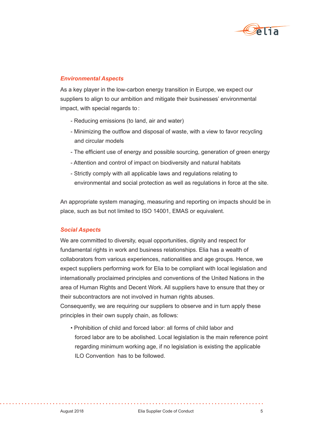

#### *Environmental Aspects*

As a key player in the low-carbon energy transition in Europe, we expect our suppliers to align to our ambition and mitigate their businesses' environmental impact, with special regards to :

- Reducing emissions (to land, air and water)
- Minimizing the outflow and disposal of waste, with a view to favor recycling and circular models
- The efficient use of energy and possible sourcing, generation of green energy
- Attention and control of impact on biodiversity and natural habitats
- Strictly comply with all applicable laws and regulations relating to environmental and social protection as well as regulations in force at the site.

An appropriate system managing, measuring and reporting on impacts should be in place, such as but not limited to ISO 14001, EMAS or equivalent.

#### *Social Aspects*

We are committed to diversity, equal opportunities, dignity and respect for fundamental rights in work and business relationships. Elia has a wealth of collaborators from various experiences, nationalities and age groups. Hence, we expect suppliers performing work for Elia to be compliant with local legislation and internationally proclaimed principles and conventions of the United Nations in the area of Human Rights and Decent Work. All suppliers have to ensure that they or their subcontractors are not involved in human rights abuses. Consequently, we are requiring our suppliers to observe and in turn apply these

principles in their own supply chain, as follows:

• Prohibition of child and forced labor: all forms of child labor and forced labor are to be abolished. Local legislation is the main reference point regarding minimum working age, if no legislation is existing the applicable ILO Convention has to be followed.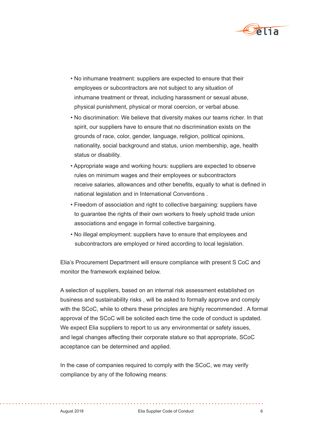

- No inhumane treatment: suppliers are expected to ensure that their employees or subcontractors are not subject to any situation of inhumane treatment or threat, including harassment or sexual abuse, physical punishment, physical or moral coercion, or verbal abuse.
- No discrimination: We believe that diversity makes our teams richer. In that spirit, our suppliers have to ensure that no discrimination exists on the grounds of race, color, gender, language, religion, political opinions, nationality, social background and status, union membership, age, health status or disability.
- Appropriate wage and working hours: suppliers are expected to observe rules on minimum wages and their employees or subcontractors receive salaries, allowances and other benefits, equally to what is defined in national legislation and in International Conventions .
- Freedom of association and right to collective bargaining: suppliers have to guarantee the rights of their own workers to freely uphold trade union associations and engage in formal collective bargaining.
- No illegal employment: suppliers have to ensure that employees and subcontractors are employed or hired according to local legislation.

Elia's Procurement Department will ensure compliance with present S CoC and monitor the framework explained below.

A selection of suppliers, based on an internal risk assessment established on business and sustainability risks , will be asked to formally approve and comply with the SCoC, while to others these principles are highly recommended . A formal approval of the SCoC will be solicited each time the code of conduct is updated. We expect Elia suppliers to report to us any environmental or safety issues, and legal changes affecting their corporate stature so that appropriate, SCoC acceptance can be determined and applied.

In the case of companies required to comply with the SCoC, we may verify compliance by any of the following means: